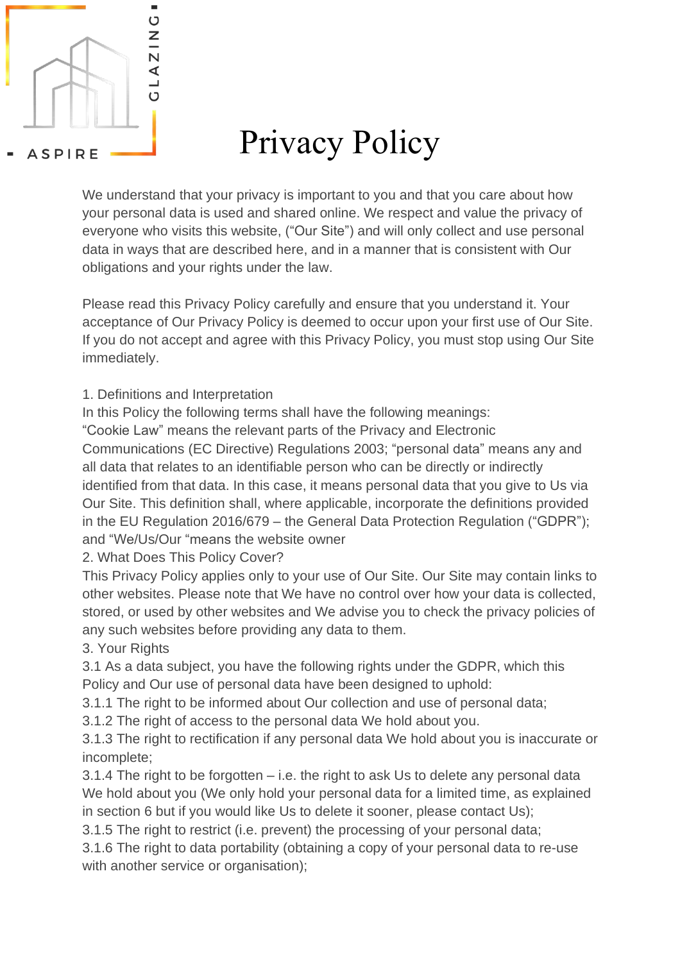

# Privacy Policy

We understand that your privacy is important to you and that you care about how your personal data is used and shared online. We respect and value the privacy of everyone who visits this website, ("Our Site") and will only collect and use personal data in ways that are described here, and in a manner that is consistent with Our obligations and your rights under the law.

Please read this Privacy Policy carefully and ensure that you understand it. Your acceptance of Our Privacy Policy is deemed to occur upon your first use of Our Site. If you do not accept and agree with this Privacy Policy, you must stop using Our Site immediately.

1. Definitions and Interpretation

In this Policy the following terms shall have the following meanings:

"Cookie Law" means the relevant parts of the Privacy and Electronic

Communications (EC Directive) Regulations 2003; "personal data" means any and all data that relates to an identifiable person who can be directly or indirectly identified from that data. In this case, it means personal data that you give to Us via Our Site. This definition shall, where applicable, incorporate the definitions provided in the EU Regulation 2016/679 – the General Data Protection Regulation ("GDPR"); and "We/Us/Our "means the website owner

2. What Does This Policy Cover?

This Privacy Policy applies only to your use of Our Site. Our Site may contain links to other websites. Please note that We have no control over how your data is collected, stored, or used by other websites and We advise you to check the privacy policies of any such websites before providing any data to them.

3. Your Rights

3.1 As a data subject, you have the following rights under the GDPR, which this Policy and Our use of personal data have been designed to uphold:

3.1.1 The right to be informed about Our collection and use of personal data;

3.1.2 The right of access to the personal data We hold about you.

3.1.3 The right to rectification if any personal data We hold about you is inaccurate or incomplete;

3.1.4 The right to be forgotten – i.e. the right to ask Us to delete any personal data We hold about you (We only hold your personal data for a limited time, as explained in section 6 but if you would like Us to delete it sooner, please contact Us);

3.1.5 The right to restrict (i.e. prevent) the processing of your personal data;

3.1.6 The right to data portability (obtaining a copy of your personal data to re-use with another service or organisation);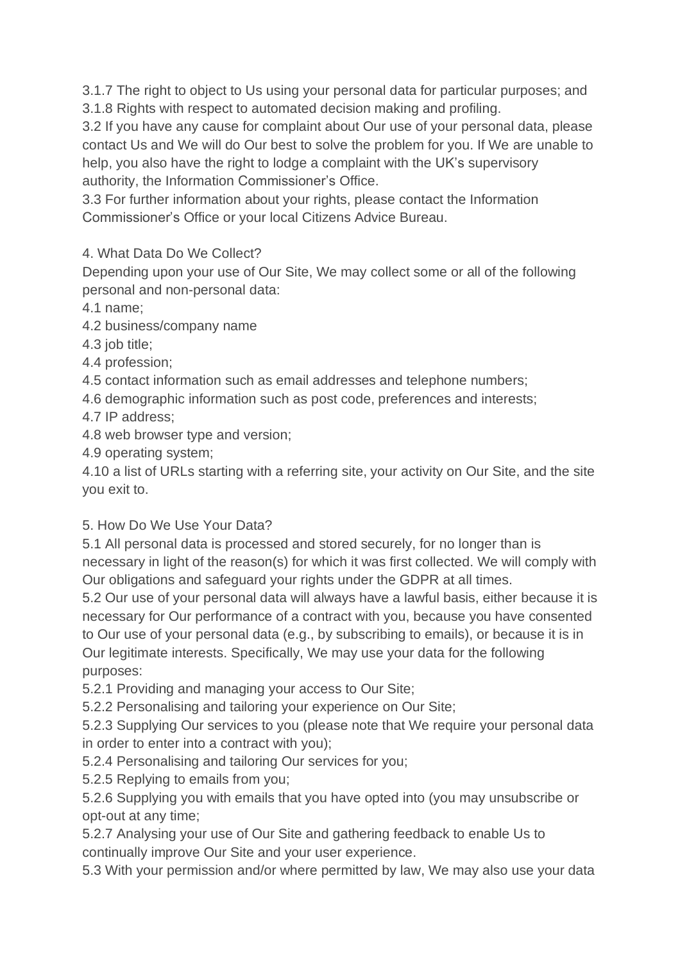3.1.7 The right to object to Us using your personal data for particular purposes; and 3.1.8 Rights with respect to automated decision making and profiling.

3.2 If you have any cause for complaint about Our use of your personal data, please contact Us and We will do Our best to solve the problem for you. If We are unable to help, you also have the right to lodge a complaint with the UK's supervisory authority, the Information Commissioner's Office.

3.3 For further information about your rights, please contact the Information Commissioner's Office or your local Citizens Advice Bureau.

4. What Data Do We Collect?

Depending upon your use of Our Site, We may collect some or all of the following personal and non-personal data:

4.1 name;

4.2 business/company name

4.3 job title;

4.4 profession;

4.5 contact information such as email addresses and telephone numbers;

4.6 demographic information such as post code, preferences and interests;

4.7 IP address;

4.8 web browser type and version;

4.9 operating system;

4.10 a list of URLs starting with a referring site, your activity on Our Site, and the site you exit to.

# 5. How Do We Use Your Data?

5.1 All personal data is processed and stored securely, for no longer than is necessary in light of the reason(s) for which it was first collected. We will comply with Our obligations and safeguard your rights under the GDPR at all times.

5.2 Our use of your personal data will always have a lawful basis, either because it is necessary for Our performance of a contract with you, because you have consented to Our use of your personal data (e.g., by subscribing to emails), or because it is in Our legitimate interests. Specifically, We may use your data for the following purposes:

5.2.1 Providing and managing your access to Our Site;

5.2.2 Personalising and tailoring your experience on Our Site;

5.2.3 Supplying Our services to you (please note that We require your personal data in order to enter into a contract with you);

5.2.4 Personalising and tailoring Our services for you;

5.2.5 Replying to emails from you;

5.2.6 Supplying you with emails that you have opted into (you may unsubscribe or opt-out at any time;

5.2.7 Analysing your use of Our Site and gathering feedback to enable Us to continually improve Our Site and your user experience.

5.3 With your permission and/or where permitted by law, We may also use your data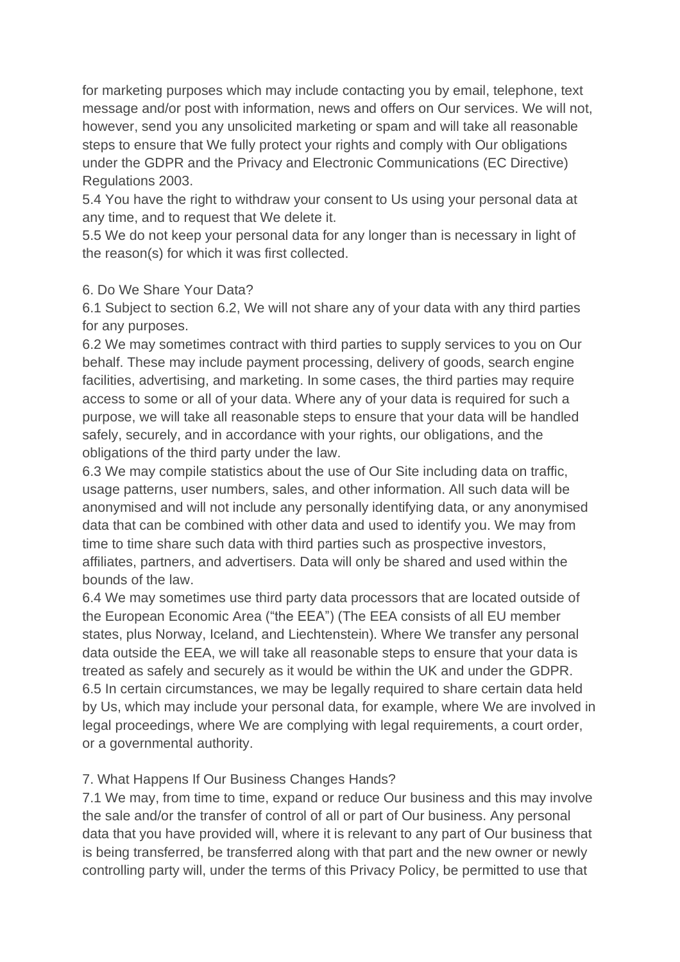for marketing purposes which may include contacting you by email, telephone, text message and/or post with information, news and offers on Our services. We will not, however, send you any unsolicited marketing or spam and will take all reasonable steps to ensure that We fully protect your rights and comply with Our obligations under the GDPR and the Privacy and Electronic Communications (EC Directive) Regulations 2003.

5.4 You have the right to withdraw your consent to Us using your personal data at any time, and to request that We delete it.

5.5 We do not keep your personal data for any longer than is necessary in light of the reason(s) for which it was first collected.

#### 6. Do We Share Your Data?

6.1 Subject to section 6.2, We will not share any of your data with any third parties for any purposes.

6.2 We may sometimes contract with third parties to supply services to you on Our behalf. These may include payment processing, delivery of goods, search engine facilities, advertising, and marketing. In some cases, the third parties may require access to some or all of your data. Where any of your data is required for such a purpose, we will take all reasonable steps to ensure that your data will be handled safely, securely, and in accordance with your rights, our obligations, and the obligations of the third party under the law.

6.3 We may compile statistics about the use of Our Site including data on traffic, usage patterns, user numbers, sales, and other information. All such data will be anonymised and will not include any personally identifying data, or any anonymised data that can be combined with other data and used to identify you. We may from time to time share such data with third parties such as prospective investors, affiliates, partners, and advertisers. Data will only be shared and used within the bounds of the law.

6.4 We may sometimes use third party data processors that are located outside of the European Economic Area ("the EEA") (The EEA consists of all EU member states, plus Norway, Iceland, and Liechtenstein). Where We transfer any personal data outside the EEA, we will take all reasonable steps to ensure that your data is treated as safely and securely as it would be within the UK and under the GDPR. 6.5 In certain circumstances, we may be legally required to share certain data held by Us, which may include your personal data, for example, where We are involved in legal proceedings, where We are complying with legal requirements, a court order, or a governmental authority.

## 7. What Happens If Our Business Changes Hands?

7.1 We may, from time to time, expand or reduce Our business and this may involve the sale and/or the transfer of control of all or part of Our business. Any personal data that you have provided will, where it is relevant to any part of Our business that is being transferred, be transferred along with that part and the new owner or newly controlling party will, under the terms of this Privacy Policy, be permitted to use that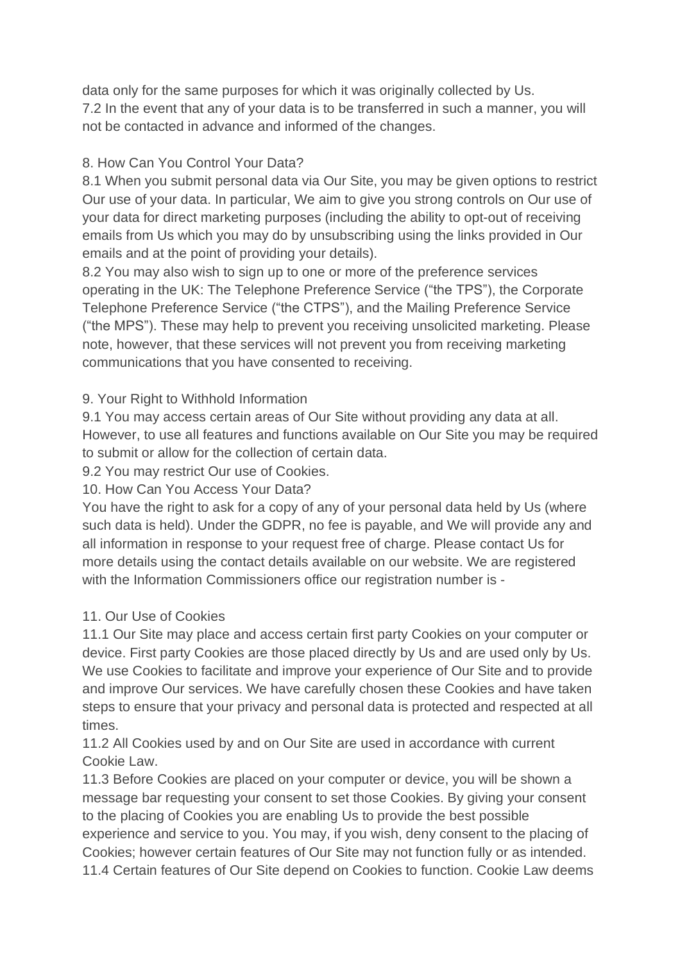data only for the same purposes for which it was originally collected by Us. 7.2 In the event that any of your data is to be transferred in such a manner, you will not be contacted in advance and informed of the changes.

# 8. How Can You Control Your Data?

8.1 When you submit personal data via Our Site, you may be given options to restrict Our use of your data. In particular, We aim to give you strong controls on Our use of your data for direct marketing purposes (including the ability to opt-out of receiving emails from Us which you may do by unsubscribing using the links provided in Our emails and at the point of providing your details).

8.2 You may also wish to sign up to one or more of the preference services operating in the UK: The Telephone Preference Service ("the TPS"), the Corporate Telephone Preference Service ("the CTPS"), and the Mailing Preference Service ("the MPS"). These may help to prevent you receiving unsolicited marketing. Please note, however, that these services will not prevent you from receiving marketing communications that you have consented to receiving.

# 9. Your Right to Withhold Information

9.1 You may access certain areas of Our Site without providing any data at all. However, to use all features and functions available on Our Site you may be required to submit or allow for the collection of certain data.

9.2 You may restrict Our use of Cookies.

# 10. How Can You Access Your Data?

You have the right to ask for a copy of any of your personal data held by Us (where such data is held). Under the GDPR, no fee is payable, and We will provide any and all information in response to your request free of charge. Please contact Us for more details using the contact details available on our website. We are registered with the Information Commissioners office our registration number is -

# 11. Our Use of Cookies

11.1 Our Site may place and access certain first party Cookies on your computer or device. First party Cookies are those placed directly by Us and are used only by Us. We use Cookies to facilitate and improve your experience of Our Site and to provide and improve Our services. We have carefully chosen these Cookies and have taken steps to ensure that your privacy and personal data is protected and respected at all times.

11.2 All Cookies used by and on Our Site are used in accordance with current Cookie Law.

11.3 Before Cookies are placed on your computer or device, you will be shown a message bar requesting your consent to set those Cookies. By giving your consent to the placing of Cookies you are enabling Us to provide the best possible experience and service to you. You may, if you wish, deny consent to the placing of Cookies; however certain features of Our Site may not function fully or as intended. 11.4 Certain features of Our Site depend on Cookies to function. Cookie Law deems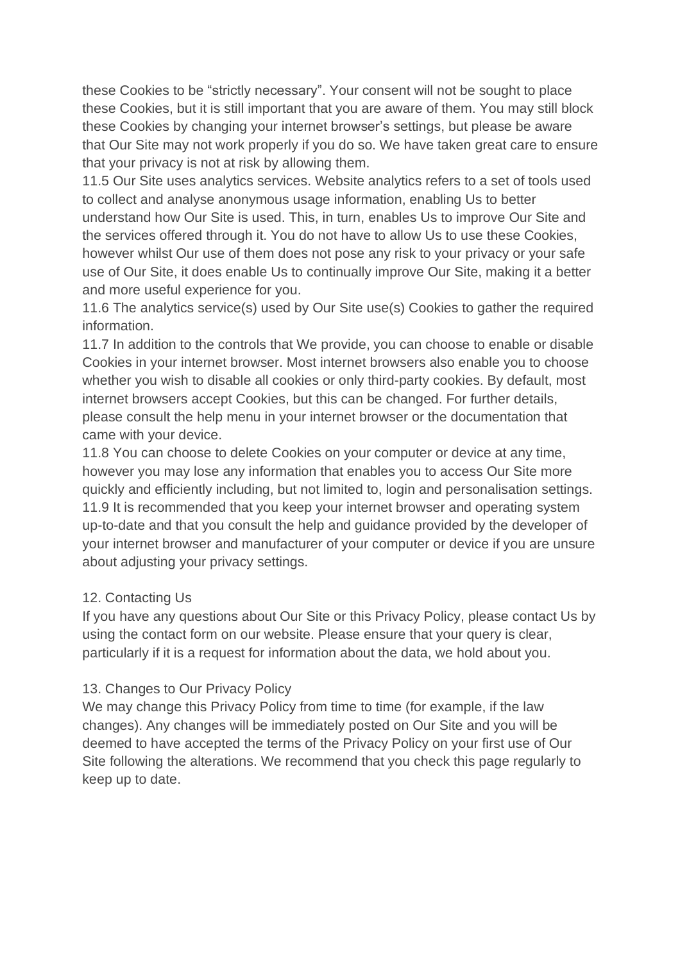these Cookies to be "strictly necessary". Your consent will not be sought to place these Cookies, but it is still important that you are aware of them. You may still block these Cookies by changing your internet browser's settings, but please be aware that Our Site may not work properly if you do so. We have taken great care to ensure that your privacy is not at risk by allowing them.

11.5 Our Site uses analytics services. Website analytics refers to a set of tools used to collect and analyse anonymous usage information, enabling Us to better understand how Our Site is used. This, in turn, enables Us to improve Our Site and the services offered through it. You do not have to allow Us to use these Cookies, however whilst Our use of them does not pose any risk to your privacy or your safe use of Our Site, it does enable Us to continually improve Our Site, making it a better and more useful experience for you.

11.6 The analytics service(s) used by Our Site use(s) Cookies to gather the required information.

11.7 In addition to the controls that We provide, you can choose to enable or disable Cookies in your internet browser. Most internet browsers also enable you to choose whether you wish to disable all cookies or only third-party cookies. By default, most internet browsers accept Cookies, but this can be changed. For further details, please consult the help menu in your internet browser or the documentation that came with your device.

11.8 You can choose to delete Cookies on your computer or device at any time, however you may lose any information that enables you to access Our Site more quickly and efficiently including, but not limited to, login and personalisation settings. 11.9 It is recommended that you keep your internet browser and operating system up-to-date and that you consult the help and guidance provided by the developer of your internet browser and manufacturer of your computer or device if you are unsure about adjusting your privacy settings.

## 12. Contacting Us

If you have any questions about Our Site or this Privacy Policy, please contact Us by using the contact form on our website. Please ensure that your query is clear, particularly if it is a request for information about the data, we hold about you.

## 13. Changes to Our Privacy Policy

We may change this Privacy Policy from time to time (for example, if the law changes). Any changes will be immediately posted on Our Site and you will be deemed to have accepted the terms of the Privacy Policy on your first use of Our Site following the alterations. We recommend that you check this page regularly to keep up to date.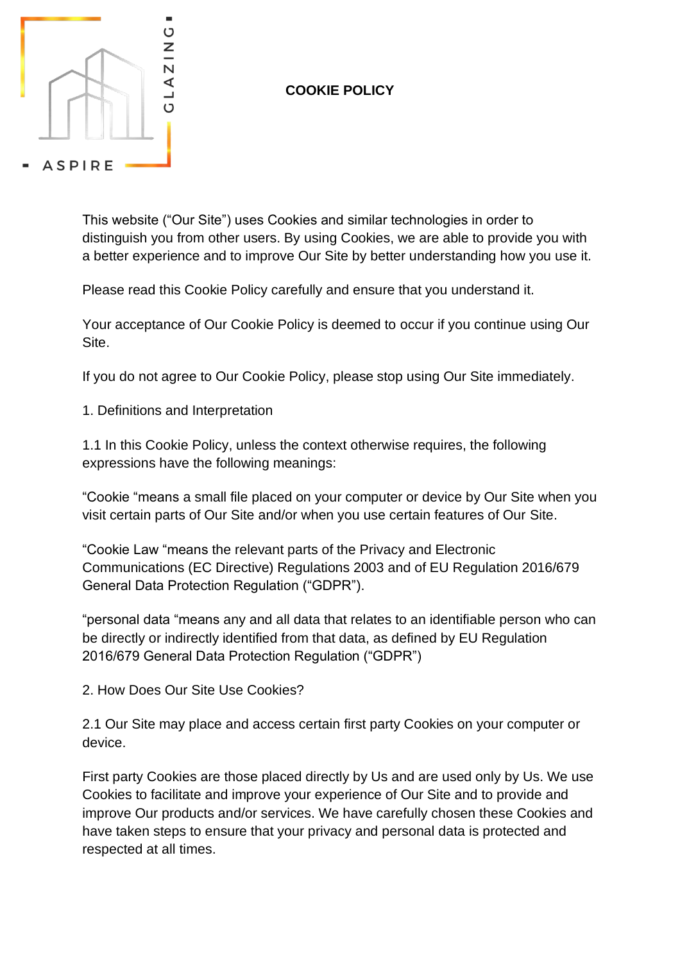

# **COOKIE POLICY**

This website ("Our Site") uses Cookies and similar technologies in order to distinguish you from other users. By using Cookies, we are able to provide you with a better experience and to improve Our Site by better understanding how you use it.

Please read this Cookie Policy carefully and ensure that you understand it.

Your acceptance of Our Cookie Policy is deemed to occur if you continue using Our Site.

If you do not agree to Our Cookie Policy, please stop using Our Site immediately.

1. Definitions and Interpretation

1.1 In this Cookie Policy, unless the context otherwise requires, the following expressions have the following meanings:

"Cookie "means a small file placed on your computer or device by Our Site when you visit certain parts of Our Site and/or when you use certain features of Our Site.

"Cookie Law "means the relevant parts of the Privacy and Electronic Communications (EC Directive) Regulations 2003 and of EU Regulation 2016/679 General Data Protection Regulation ("GDPR").

"personal data "means any and all data that relates to an identifiable person who can be directly or indirectly identified from that data, as defined by EU Regulation 2016/679 General Data Protection Regulation ("GDPR")

2. How Does Our Site Use Cookies?

2.1 Our Site may place and access certain first party Cookies on your computer or device.

First party Cookies are those placed directly by Us and are used only by Us. We use Cookies to facilitate and improve your experience of Our Site and to provide and improve Our products and/or services. We have carefully chosen these Cookies and have taken steps to ensure that your privacy and personal data is protected and respected at all times.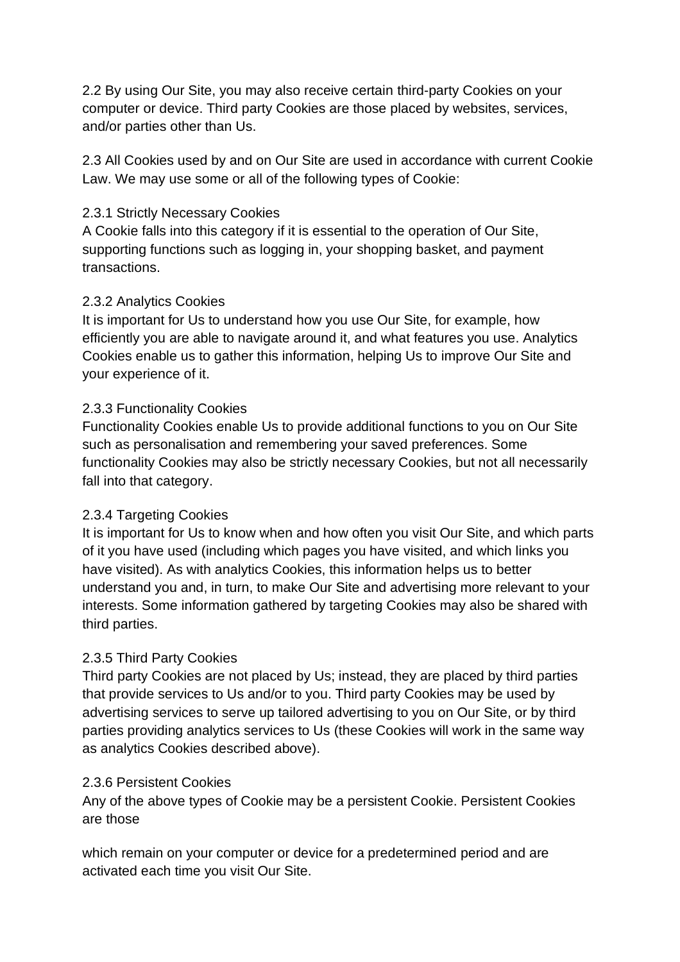2.2 By using Our Site, you may also receive certain third-party Cookies on your computer or device. Third party Cookies are those placed by websites, services, and/or parties other than Us.

2.3 All Cookies used by and on Our Site are used in accordance with current Cookie Law. We may use some or all of the following types of Cookie:

## 2.3.1 Strictly Necessary Cookies

A Cookie falls into this category if it is essential to the operation of Our Site, supporting functions such as logging in, your shopping basket, and payment transactions.

#### 2.3.2 Analytics Cookies

It is important for Us to understand how you use Our Site, for example, how efficiently you are able to navigate around it, and what features you use. Analytics Cookies enable us to gather this information, helping Us to improve Our Site and your experience of it.

#### 2.3.3 Functionality Cookies

Functionality Cookies enable Us to provide additional functions to you on Our Site such as personalisation and remembering your saved preferences. Some functionality Cookies may also be strictly necessary Cookies, but not all necessarily fall into that category.

## 2.3.4 Targeting Cookies

It is important for Us to know when and how often you visit Our Site, and which parts of it you have used (including which pages you have visited, and which links you have visited). As with analytics Cookies, this information helps us to better understand you and, in turn, to make Our Site and advertising more relevant to your interests. Some information gathered by targeting Cookies may also be shared with third parties.

## 2.3.5 Third Party Cookies

Third party Cookies are not placed by Us; instead, they are placed by third parties that provide services to Us and/or to you. Third party Cookies may be used by advertising services to serve up tailored advertising to you on Our Site, or by third parties providing analytics services to Us (these Cookies will work in the same way as analytics Cookies described above).

#### 2.3.6 Persistent Cookies

Any of the above types of Cookie may be a persistent Cookie. Persistent Cookies are those

which remain on your computer or device for a predetermined period and are activated each time you visit Our Site.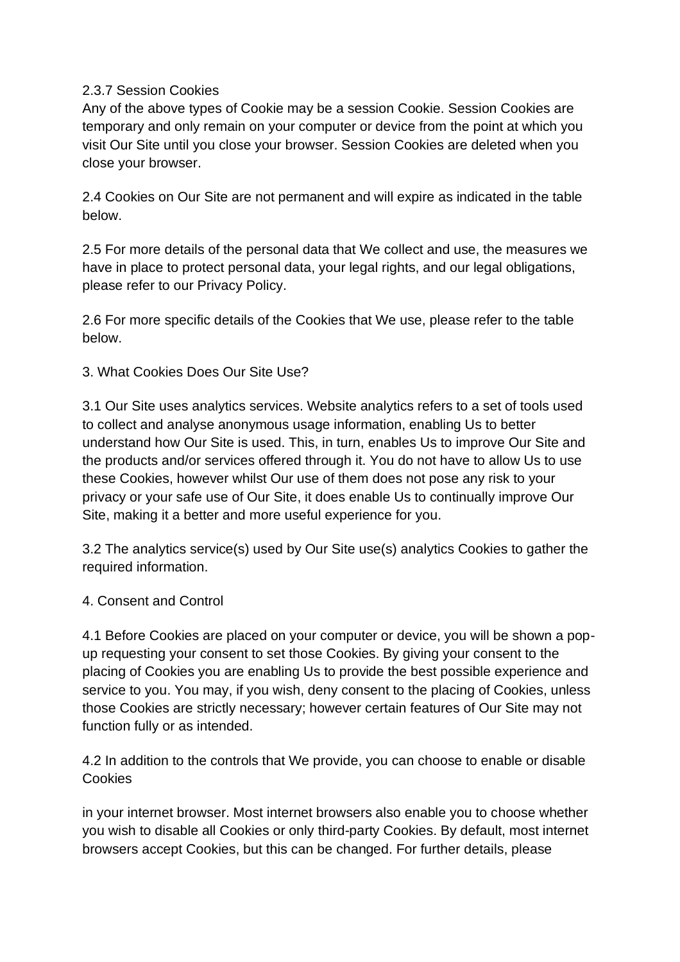## 2.3.7 Session Cookies

Any of the above types of Cookie may be a session Cookie. Session Cookies are temporary and only remain on your computer or device from the point at which you visit Our Site until you close your browser. Session Cookies are deleted when you close your browser.

2.4 Cookies on Our Site are not permanent and will expire as indicated in the table below.

2.5 For more details of the personal data that We collect and use, the measures we have in place to protect personal data, your legal rights, and our legal obligations, please refer to our Privacy Policy.

2.6 For more specific details of the Cookies that We use, please refer to the table below.

3. What Cookies Does Our Site Use?

3.1 Our Site uses analytics services. Website analytics refers to a set of tools used to collect and analyse anonymous usage information, enabling Us to better understand how Our Site is used. This, in turn, enables Us to improve Our Site and the products and/or services offered through it. You do not have to allow Us to use these Cookies, however whilst Our use of them does not pose any risk to your privacy or your safe use of Our Site, it does enable Us to continually improve Our Site, making it a better and more useful experience for you.

3.2 The analytics service(s) used by Our Site use(s) analytics Cookies to gather the required information.

4. Consent and Control

4.1 Before Cookies are placed on your computer or device, you will be shown a popup requesting your consent to set those Cookies. By giving your consent to the placing of Cookies you are enabling Us to provide the best possible experience and service to you. You may, if you wish, deny consent to the placing of Cookies, unless those Cookies are strictly necessary; however certain features of Our Site may not function fully or as intended.

4.2 In addition to the controls that We provide, you can choose to enable or disable **Cookies** 

in your internet browser. Most internet browsers also enable you to choose whether you wish to disable all Cookies or only third-party Cookies. By default, most internet browsers accept Cookies, but this can be changed. For further details, please